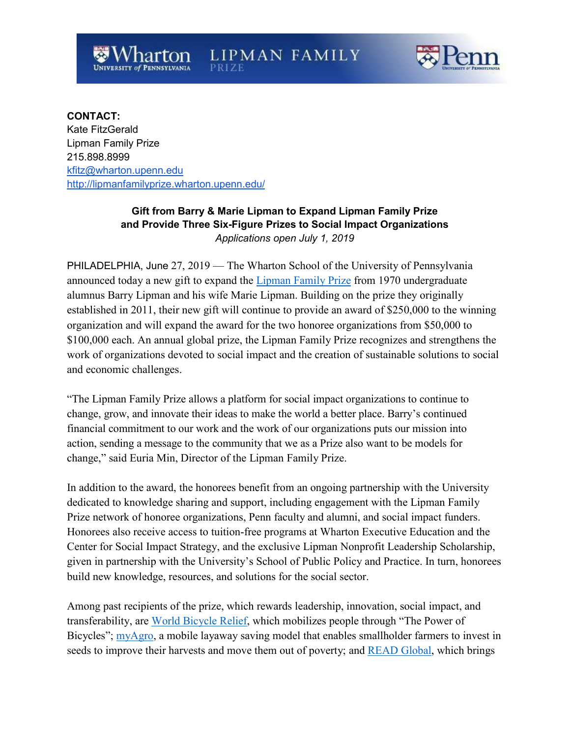

**CONTACT:** Kate FitzGerald Lipman Family Prize 215.898.8999 [kfitz@wharton.upenn.edu](mailto:kfitz@wharton.upenn.edu) <http://lipmanfamilyprize.wharton.upenn.edu/>

# **Gift from Barry & Marie Lipman to Expand Lipman Family Prize and Provide Three Six-Figure Prizes to Social Impact Organizations** *Applications open July 1, 2019*

PHILADELPHIA, June 27, 2019 — The Wharton School of the University of Pennsylvania announced today a new gift to expand the [Lipman Family Prize](https://lipmanfamilyprize.wharton.upenn.edu/) from 1970 undergraduate alumnus Barry Lipman and his wife Marie Lipman. Building on the prize they originally established in 2011, their new gift will continue to provide an award of \$250,000 to the winning organization and will expand the award for the two honoree organizations from \$50,000 to \$100,000 each. An annual global prize, the Lipman Family Prize recognizes and strengthens the work of organizations devoted to social impact and the creation of sustainable solutions to social and economic challenges.

"The Lipman Family Prize allows a platform for social impact organizations to continue to change, grow, and innovate their ideas to make the world a better place. Barry's continued financial commitment to our work and the work of our organizations puts our mission into action, sending a message to the community that we as a Prize also want to be models for change," said Euria Min, Director of the Lipman Family Prize.

In addition to the award, the honorees benefit from an ongoing partnership with the University dedicated to knowledge sharing and support, including engagement with the Lipman Family Prize network of honoree organizations, Penn faculty and alumni, and social impact funders. Honorees also receive access to tuition-free programs at Wharton Executive Education and the Center for Social Impact Strategy, and the exclusive Lipman Nonprofit Leadership Scholarship, given in partnership with the University's School of Public Policy and Practice. In turn, honorees build new knowledge, resources, and solutions for the social sector.

Among past recipients of the prize, which rewards leadership, innovation, social impact, and transferability, are [World Bicycle Relief,](https://worldbicyclerelief.org/en/) which mobilizes people through "The Power of Bicycles"; [myAgro,](https://www.myagro.org/) a mobile layaway saving model that enables smallholder farmers to invest in seeds to improve their harvests and move them out of poverty; and [READ Global,](https://www.readglobal.org/) which brings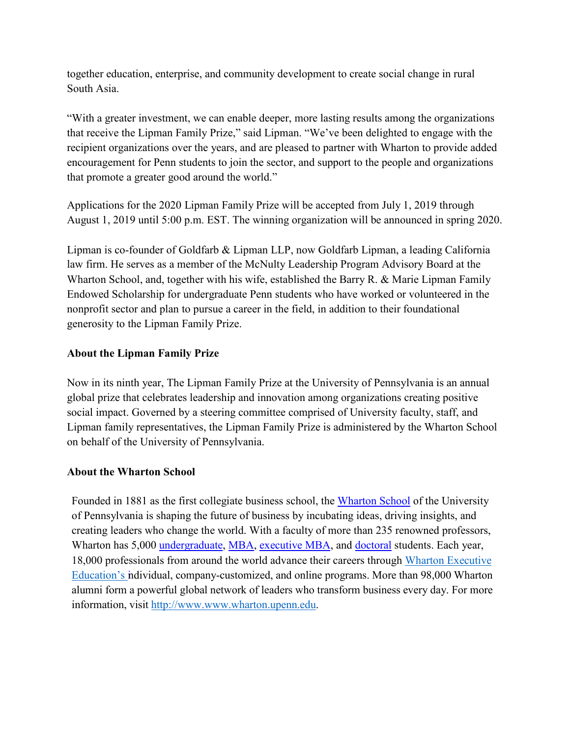together education, enterprise, and community development to create social change in rural South Asia.

"With a greater investment, we can enable deeper, more lasting results among the organizations that receive the Lipman Family Prize," said Lipman. "We've been delighted to engage with the recipient organizations over the years, and are pleased to partner with Wharton to provide added encouragement for Penn students to join the sector, and support to the people and organizations that promote a greater good around the world."

Applications for the 2020 Lipman Family Prize will be accepted from July 1, 2019 through August 1, 2019 until 5:00 p.m. EST. The winning organization will be announced in spring 2020.

Lipman is co-founder of Goldfarb & Lipman LLP, now Goldfarb Lipman, a leading California law firm. He serves as a member of the McNulty Leadership Program Advisory Board at the Wharton School, and, together with his wife, established the Barry R. & Marie Lipman Family Endowed Scholarship for undergraduate Penn students who have worked or volunteered in the nonprofit sector and plan to pursue a career in the field, in addition to their foundational generosity to the Lipman Family Prize.

## **About the Lipman Family Prize**

Now in its ninth year, The Lipman Family Prize at the University of Pennsylvania is an annual global prize that celebrates leadership and innovation among organizations creating positive social impact. Governed by a steering committee comprised of University faculty, staff, and Lipman family representatives, the Lipman Family Prize is administered by the Wharton School on behalf of the University of Pennsylvania.

## **About the Wharton School**

Founded in 1881 as the first collegiate business school, the [Wharton School](http://www.wharton.upenn.edu/) of the University of Pennsylvania is shaping the future of business by incubating ideas, driving insights, and creating leaders who change the world. With a faculty of more than 235 renowned professors, Wharton has 5,000 [undergraduate, MBA,](http://www.wharton.upenn.edu/undergrad/) [executive](http://www.wharton.upenn.edu/mbaexecutive/) MBA, and [doctoral](http://www.wharton.upenn.edu/doctoral/) students. Each year, 18,000 professionals from around the world advance their careers through [Wharton Executive](https://executiveeducation.wharton.upenn.edu/)  [Education's in](https://executiveeducation.wharton.upenn.edu/)dividual, company-customized, and online programs. More than 98,000 Wharton alumni form a powerful global network of leaders who transform business every day. For more information, visit [http://www.www.wharton.upenn.edu.](http://www.www.wharton.upenn.edu/)